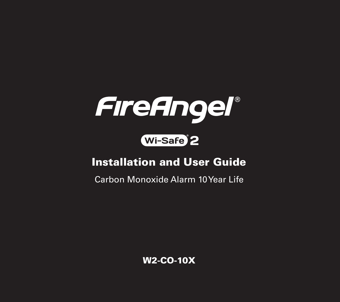

# Wi-Safe<sup>2</sup>

### Installation and User Guide

Carbon Monoxide Alarm 10 Year Life

W2-CO-10X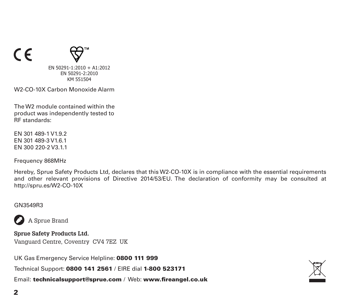



EN 50291-1:2010 + A1:2012 EN 50291-2:2010 KM 551504

W2-CO-10X Carbon Monoxide Alarm

The W2 module contained within the product was independently tested to .<br>RF standards:

EN 301 489-1 V1.9.2 EN 301 489-3 V1.6.1 EN 300 220-2 V3.1.1

Frequency 868MHz

Hereby, Sprue Safety Products Ltd, declares that this W2-CO-10X is in compliance with the essential requirements and other relevant provisions of Directive 2014/53/EU. The declaration of conformity may be consulted at http://spru.es/W2-CO-10X

#### GN3549R3



A Sprue Brand

**Sprue Safety Products Ltd.** Vanguard Centre, Coventry CV4 7EZ UK

UK Gas Emergency Service Helpline: 0800 111 999

Technical Support: 0800 141 2561 / EIRE dial 1-800 523171

Email: technicalsupport@sprue.com / Web: www.fireangel.co.uk

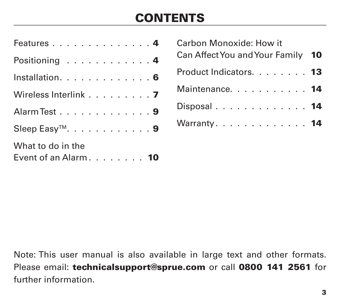# **CONTENTS**

| Features 4                                  |  |  |  |  |  |  |  |
|---------------------------------------------|--|--|--|--|--|--|--|
| Positioning $\ldots \ldots \ldots \ldots 4$ |  |  |  |  |  |  |  |
| Installation. 6                             |  |  |  |  |  |  |  |
| Wireless Interlink 7                        |  |  |  |  |  |  |  |
| Alarm Test 9                                |  |  |  |  |  |  |  |
| Sleep Easy <sup>™</sup> . 9                 |  |  |  |  |  |  |  |
| What to do in the<br>Event of an Alarm. 10  |  |  |  |  |  |  |  |

| Carbon Monoxide: How it           |  |
|-----------------------------------|--|
| Can Affect You and Your Family 10 |  |
| Product Indicators. 13            |  |
| Maintenance. 14                   |  |
| Disposal. $\ldots$ . 14           |  |
| Warranty. 14                      |  |

Note: This user manual is also available in large text and other formats. Please email: technicalsupport@sprue.com or call 0800 141 2561 for further information.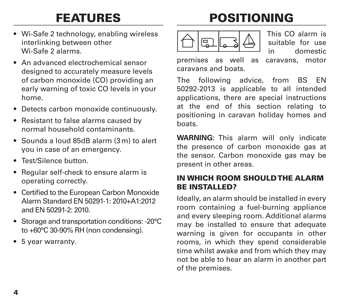# FEATURES

- Wi-Safe 2 technology, enabling wireless interlinking between other Wi-Safe 2 alarms.
- An advanced electrochemical sensor designed to accurately measure levels of carbon monoxide (CO) providing an early warning of toxic CO levels in your home.
- Detects carbon monoxide continuously.
- Resistant to false alarms caused by normal household contaminants.
- Sounds a loud 85dB alarm (3m) to alert you in case of an emergency.
- Test/Silence button.
- Regular self-check to ensure alarm is operating correctly.
- Certified to the European Carbon Monoxide Alarm Standard EN 50291-1: 2010+A1:2012 and EN 50291-2: 2010.
- Storage and transportation conditions: -20°C to +60°C 30-90% RH (non condensing).
- 5 year warranty.

# POSITIONING



This CO alarm is suitable for use in domestic

premises as well as caravans, motor caravans and boats.

The following advice, from BS EN 50292-2013 is applicable to all intended applications, there are special instructions at the end of this section relating to positioning in caravan holiday homes and boats.

**WARNING:** This alarm will only indicate the presence of carbon monoxide gas at the sensor. Carbon monoxide gas may be present in other areas.

### IN WHICH ROOM SHOULD THE ALARM BE INSTALLED?

Ideally, an alarm should be installed in every room containing a fuel-burning appliance and every sleeping room. Additional alarms may be installed to ensure that adequate warning is given for occupants in other rooms, in which they spend considerable time whilst awake and from which they may not be able to hear an alarm in another part of the premises.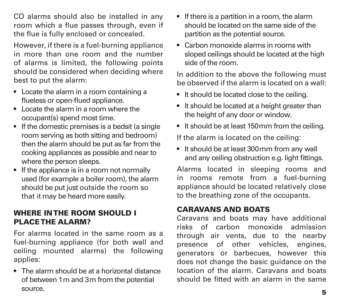CO alarms should also be installed in any room which a flue passes through, even if the flue is fully enclosed or concealed.

However, if there is a fuel-burning appliance in more than one room and the number of alarms is limited, the following points should be considered when deciding where best to put the alarm:

- Locate the alarm in a room containing a flueless or open-flued appliance.
- Locate the alarm in a room where the occupant(s) spend most time.
- If the domestic premises is a bedsit (a single room serving as both sitting and bedroom) then the alarm should be put as far from the cooking appliances as possible and near to where the person sleeps.
- If the appliance is in a room not normally used (for example a boiler room), the alarm should be put just outside the room so that it may be heard more easily.

### WHERE IN THE ROOM SHOULD I PLACE THE ALARM?

For alarms located in the same room as a fuel-burning appliance (for both wall and ceiling mounted alarms) the following applies:

• The alarm should be at a horizontal distance of between 1m and 3m from the potential source.

- If there is a partition in a room, the alarm should be located on the same side of the partition as the potential source.
- Carbon monoxide alarms in rooms with sloped ceilings should be located at the high side of the room.

In addition to the above the following must be observed if the alarm is located on a wall:

- It should be located close to the ceiling.
- It should be located at a height greater than the height of any door or window.
- It should be at least 150mm from the ceiling.

If the alarm is located on the ceiling:

• It should be at least 300mm from any wall and any ceiling obstruction e.g. light fittings.

Alarms located in sleeping rooms and in rooms remote from a fuel-burning appliance should be located relatively close to the breathing zone of the occupants.

### CARAVANS AND BOATS

Caravans and boats may have additional risks of carbon monoxide admission through air vents, due to the nearby presence of other vehicles, engines, generators or barbecues, however this does not change the basic guidance on the location of the alarm. Caravans and boats should be fitted with an alarm in the same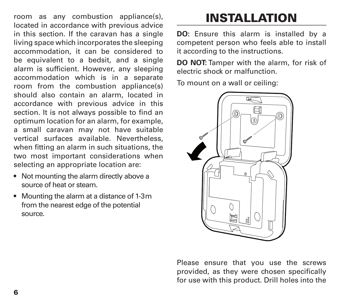room as any combustion appliance(s), located in accordance with previous advice in this section. If the caravan has a single living space which incorporates the sleeping accommodation, it can be considered to be equivalent to a bedsit, and a single alarm is sufficient. However, any sleeping accommodation which is in a separate room from the combustion appliance(s) should also contain an alarm, located in accordance with previous advice in this section. It is not always possible to find an optimum location for an alarm, for example, a small caravan may not have suitable vertical surfaces available. Nevertheless, when fitting an alarm in such situations, the two most important considerations when selecting an appropriate location are:

- Not mounting the alarm directly above a source of heat or steam.
- Mounting the alarm at a distance of 1-3m from the nearest edge of the potential source.

# INSTALLATION

**DO:** Ensure this alarm is installed by a competent person who feels able to install it according to the instructions.

**DO NOT:** Tamper with the alarm, for risk of electric shock or malfunction.

To mount on a wall or ceiling:



Please ensure that you use the screws provided, as they were chosen specifically for use with this product. Drill holes into the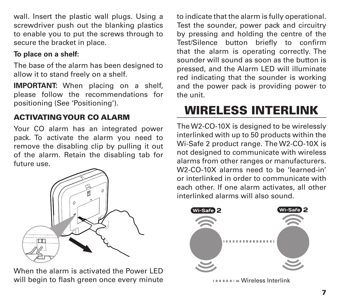wall. Insert the plastic wall plugs. Using a screwdriver push out the blanking plastics to enable you to put the screws through to secure the bracket in place.

### **To place on a shelf:**

The base of the alarm has been designed to allow it to stand freely on a shelf.

**IMPORTANT:** When placing on a shelf, please follow the recommendations for positioning (See 'Positioning').

### ACTIVATING YOUR CO ALARM

Your CO alarm has an integrated power pack. To activate the alarm you need to remove the disabling clip by pulling it out of the alarm. Retain the disabling tab for future use.



When the alarm is activated the Power LED will begin to flash green once every minute to indicate that the alarm is fully operational. Test the sounder, power pack and circuitry by pressing and holding the centre of the Test/Silence button briefly to confirm that the alarm is operating correctly. The sounder will sound as soon as the button is pressed, and the Alarm LED will illuminate red indicating that the sounder is working and the power pack is providing power to the unit.

# WIRELESS INTERLINK

The W2-CO-10X is designed to be wirelessly interlinked with up to 50 products within the Wi-Safe 2 product range. The W2-CO-10X is not designed to communicate with wireless alarms from other ranges or manufacturers. W2-CO-10X alarms need to be 'learned-in' or interlinked in order to communicate with each other. If one alarm activates, all other interlinked alarms will also sound.



= Wireless Interlink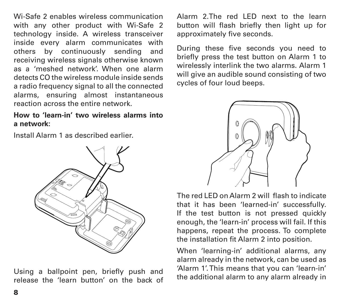Wi-Safe 2 enables wireless communication with any other product with Wi-Safe 2 technology inside. A wireless transceiver inside every alarm communicates with others by continuously sending and receiving wireless signals otherwise known as a 'meshed network'. When one alarm detects CO the wireless module inside sends a radio frequency signal to all the connected alarms, ensuring almost instantaneous reaction across the entire network.

#### **How to 'learn-in' two wireless alarms into a network:**

Install Alarm 1 as described earlier.



Using a ballpoint pen, briefly push and release the 'learn button' on the back of Alarm 2.The red LED next to the learn button will flash briefly then light up for approximately five seconds.

During these five seconds you need to briefly press the test button on Alarm 1 to wirelessly interlink the two alarms. Alarm 1 will give an audible sound consisting of two cycles of four loud beeps.



The red LED on Alarm 2 will flash to indicate that it has been 'learned-in' successfully. If the test button is not pressed quickly enough, the 'learn-in' process will fail. If this happens, repeat the process. To complete the installation fit Alarm 2 into position.

When 'learning-in' additional alarms, any alarm already in the network, can be used as 'Alarm 1'. This means that you can 'learn-in' the additional alarm to any alarm already in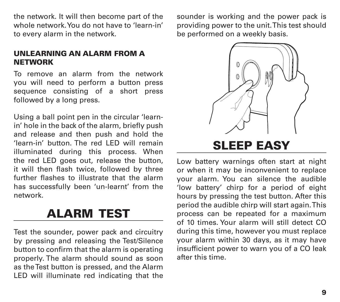the network. It will then become part of the whole network. You do not have to 'learn-in' to every alarm in the network.

UNLEARNING AN ALARM FROM A **NETWORK** 

To remove an alarm from the network you will need to perform a button press sequence consisting of a short press followed by a long press.

Using a ball point pen in the circular 'learnin' hole in the back of the alarm, briefly push and release and then push and hold the 'learn-in' button. The red LED will remain illuminated during this process. When the red LED goes out, release the button, it will then flash twice, followed by three further flashes to illustrate that the alarm has successfully been 'un-learnt' from the network.

### ALARM TEST

Test the sounder, power pack and circuitry by pressing and releasing the Test/Silence button to confirm that the alarm is operating properly. The alarm should sound as soon as the Test button is pressed, and the Alarm LED will illuminate red indicating that the sounder is working and the power pack is providing power to the unit. This test should be performed on a weekly basis.



Low battery warnings often start at night or when it may be inconvenient to replace your alarm. You can silence the audible 'low battery' chirp for a period of eight hours by pressing the test button. After this period the audible chirp will start again. This process can be repeated for a maximum of 10 times. Your alarm will still detect CO during this time, however you must replace your alarm within 30 days, as it may have insufficient power to warn you of a CO leak after this time.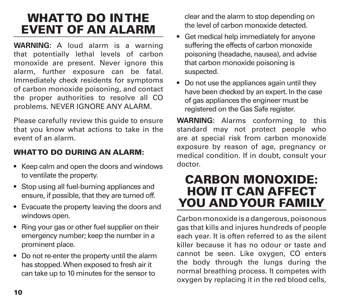### WHAT TO DO IN THE EVENT OF AN ALARM

**WARNING:** A loud alarm is a warning that potentially lethal levels of carbon monoxide are present. Never ignore this alarm, further exposure can be fatal. Immediately check residents for symptoms of carbon monoxide poisoning, and contact the proper authorities to resolve all CO problems. NEVER IGNORE ANY ALARM.

Please carefully review this guide to ensure that you know what actions to take in the event of an alarm.

### WHAT TO DO DURING AN ALARM-

- Keep calm and open the doors and windows to ventilate the property.
- Stop using all fuel-burning appliances and ensure, if possible, that they are turned off.
- Evacuate the property leaving the doors and windows open.
- Ring your gas or other fuel supplier on their emergency number; keep the number in a prominent place.
- Do not re-enter the property until the alarm has stopped. When exposed to fresh air it can take up to 10 minutes for the sensor to

clear and the alarm to stop depending on the level of carbon monoxide detected.

- Get medical help immediately for anyone suffering the effects of carbon monoxide poisoning (headache, nausea), and advise that carbon monoxide poisoning is suspected.
- Do not use the appliances again until they have been checked by an expert. In the case of gas appliances the engineer must be registered on the Gas Safe register.

**WARNING:** Alarms conforming to this standard may not protect people who are at special risk from carbon monoxide exposure by reason of age, pregnancy or medical condition. If in doubt, consult your doctor.

### CARBON MONOXIDE: HOW IT CAN AFFECT YOU AND YOUR FAMILY

Carbon monoxide is a dangerous, poisonous gas that kills and injures hundreds of people each year. It is often referred to as the silent killer because it has no odour or taste and cannot be seen. Like oxygen, CO enters the body through the lungs during the normal breathing process. It competes with oxygen by replacing it in the red blood cells,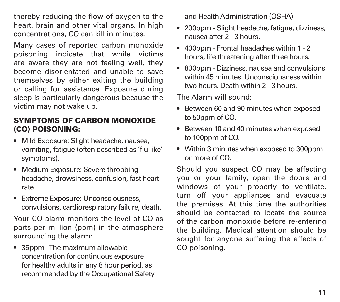thereby reducing the flow of oxygen to the heart, brain and other vital organs. In high concentrations, CO can kill in minutes.

Many cases of reported carbon monoxide poisoning indicate that while victims are aware they are not feeling well, they become disorientated and unable to save themselves by either exiting the building or calling for assistance. Exposure during sleep is particularly dangerous because the victim may not wake up.

### SYMPTOMS OF CARBON MONOXIDE (CO) POISONING:

- Mild Exposure: Slight headache, nausea, vomiting, fatigue (often described as 'flu-like' symptoms).
- Medium Exposure: Severe throbbing headache, drowsiness, confusion, fast heart rate.
- Extreme Exposure: Unconsciousness, convulsions, cardiorespiratory failure, death.

Your CO alarm monitors the level of CO as parts per million (ppm) in the atmosphere surrounding the alarm:

• 35 ppm - The maximum allowable concentration for continuous exposure for healthy adults in any 8 hour period, as recommended by the Occupational Safety and Health Administration (OSHA).

- 200ppm Slight headache, fatigue, dizziness, nausea after 2 - 3 hours.
- 400ppm Frontal headaches within 1 2 hours, life threatening after three hours.
- 800ppm Dizziness, nausea and convulsions within 45 minutes. Unconsciousness within two hours. Death within 2 - 3 hours.

The Alarm will sound:

- Between 60 and 90 minutes when exposed to 50ppm of CO.
- Between 10 and 40 minutes when exposed to 100ppm of CO.
- Within 3 minutes when exposed to 300ppm or more of CO.

Should you suspect CO may be affecting you or your family, open the doors and windows of your property to ventilate, turn off your appliances and evacuate the premises. At this time the authorities should be contacted to locate the source of the carbon monoxide before re-entering the building. Medical attention should be sought for anyone suffering the effects of CO poisoning.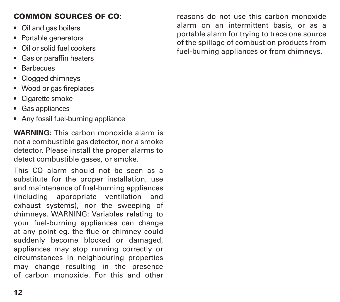### COMMON SOURCES OF CO:

- Oil and gas boilers
- Portable generators
- Oil or solid fuel cookers
- Gas or paraffin heaters
- Barbecues
- Clogged chimneys
- Wood or gas fireplaces
- Cigarette smoke
- Gas appliances
- Any fossil fuel-burning appliance

**WARNING:** This carbon monoxide alarm is not a combustible gas detector, nor a smoke detector. Please install the proper alarms to detect combustible gases, or smoke.

This CO alarm should not be seen as a substitute for the proper installation, use and maintenance of fuel-burning appliances (including appropriate ventilation and exhaust systems), nor the sweeping of chimneys. WARNING: Variables relating to your fuel-burning appliances can change at any point eg. the flue or chimney could suddenly become blocked or damaged, appliances may stop running correctly or circumstances in neighbouring properties may change resulting in the presence of carbon monoxide. For this and other

reasons do not use this carbon monoxide alarm on an intermittent basis, or as a portable alarm for trying to trace one source of the spillage of combustion products from fuel-burning appliances or from chimneys.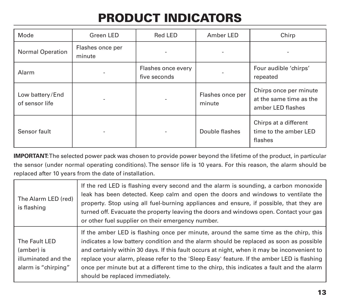# PRODUCT INDICATORS

| Mode                              | Green LED                  | Red LED                            | Amber LED                  | Chirp                                                                  |
|-----------------------------------|----------------------------|------------------------------------|----------------------------|------------------------------------------------------------------------|
| Normal Operation                  | Flashes once per<br>minute |                                    |                            |                                                                        |
| Alarm                             |                            | Flashes once every<br>five seconds |                            | Four audible 'chirps'<br>repeated                                      |
| Low battery/End<br>of sensor life |                            |                                    | Flashes once per<br>minute | Chirps once per minute<br>at the same time as the<br>amber LED flashes |
| Sensor fault                      |                            |                                    | Double flashes             | Chirps at a different<br>time to the amber LED<br>flashes              |

**IMPORTANT:** The selected power pack was chosen to provide power beyond the lifetime of the product, in particular the sensor (under normal operating conditions). The sensor life is 10 years. For this reason, the alarm should be replaced after 10 years from the date of installation.

| The Alarm LED (red)<br>is flashing                                        | If the red LED is flashing every second and the alarm is sounding, a carbon monoxide<br>leak has been detected. Keep calm and open the doors and windows to ventilate the<br>property. Stop using all fuel-burning appliances and ensure, if possible, that they are<br>turned off. Evacuate the property leaving the doors and windows open. Contact your gas<br>or other fuel supplier on their emergency number.                                                                                           |
|---------------------------------------------------------------------------|---------------------------------------------------------------------------------------------------------------------------------------------------------------------------------------------------------------------------------------------------------------------------------------------------------------------------------------------------------------------------------------------------------------------------------------------------------------------------------------------------------------|
| The Fault LED<br>(amber) is<br>illuminated and the<br>alarm is "chirping" | If the amber LED is flashing once per minute, around the same time as the chirp, this<br>indicates a low battery condition and the alarm should be replaced as soon as possible<br>and certainly within 30 days. If this fault occurs at night, when it may be inconvenient to<br>replace your alarm, please refer to the 'Sleep Easy' feature. If the amber LED is flashing<br>once per minute but at a different time to the chirp, this indicates a fault and the alarm<br>should be replaced immediately. |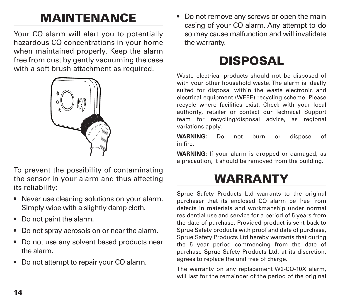# MAINTENANCE

Your CO alarm will alert you to potentially hazardous CO concentrations in your home when maintained properly. Keep the alarm free from dust by gently vacuuming the case with a soft brush attachment as required.



To prevent the possibility of contaminating the sensor in your alarm and thus affecting its reliability:

- Never use cleaning solutions on your alarm. Simply wipe with a slightly damp cloth.
- Do not paint the alarm.
- Do not spray aerosols on or near the alarm.
- Do not use any solvent based products near the alarm.
- Do not attempt to repair your CO alarm.

• Do not remove any screws or open the main casing of your CO alarm. Any attempt to do so may cause malfunction and will invalidate the warranty.

# DISPOSAL

Waste electrical products should not be disposed of with your other household waste. The alarm is ideally suited for disposal within the waste electronic and electrical equipment (WEEE) recycling scheme. Please recycle where facilities exist. Check with your local authority, retailer or contact our Technical Support team for recycling/disposal advice, as regional variations apply.

**WARNING:** Do not burn or dispose of in fire.

**WARNING:** If your alarm is dropped or damaged, as a precaution, it should be removed from the building.

# WARRANTY

Sprue Safety Products Ltd warrants to the original purchaser that its enclosed CO alarm be free from defects in materials and workmanship under normal residential use and service for a period of 5 years from the date of purchase. Provided product is sent back to Sprue Safety products with proof and date of purchase, Sprue Safety Products Ltd hereby warrants that during the 5 year period commencing from the date of purchase Sprue Safety Products Ltd, at its discretion, agrees to replace the unit free of charge.

The warranty on any replacement W2-CO-10X alarm, will last for the remainder of the period of the original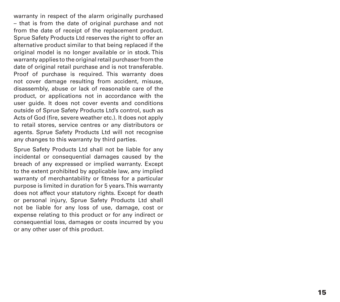warranty in respect of the alarm originally purchased – that is from the date of original purchase and not from the date of receipt of the replacement product. Sprue Safety Products Ltd reserves the right to offer an alternative product similar to that being replaced if the original model is no longer available or in stock. This warranty applies to the original retail purchaser from the date of original retail purchase and is not transferable. Proof of purchase is required. This warranty does not cover damage resulting from accident, misuse, disassembly, abuse or lack of reasonable care of the product, or applications not in accordance with the user guide. It does not cover events and conditions outside of Sprue Safety Products Ltd's control, such as Acts of God (fire, severe weather etc.). It does not apply to retail stores, service centres or any distributors or agents. Sprue Safety Products Ltd will not recognise any changes to this warranty by third parties.

Sprue Safety Products Ltd shall not be liable for any incidental or consequential damages caused by the breach of any expressed or implied warranty. Except to the extent prohibited by applicable law, any implied warranty of merchantability or fitness for a particular purpose is limited in duration for 5 years. This warranty does not affect your statutory rights. Except for death or personal injury, Sprue Safety Products Ltd shall not be liable for any loss of use, damage, cost or expense relating to this product or for any indirect or consequential loss, damages or costs incurred by you or any other user of this product.